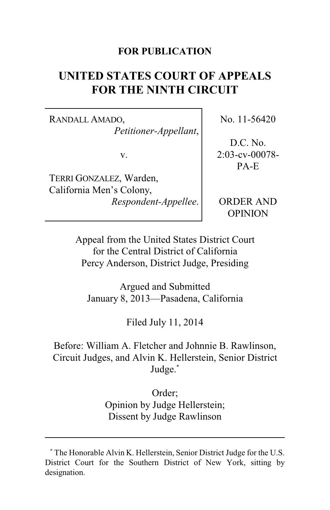### **FOR PUBLICATION**

# **UNITED STATES COURT OF APPEALS FOR THE NINTH CIRCUIT**

RANDALL AMADO, *Petitioner-Appellant*,

v.

TERRI GONZALEZ, Warden, California Men's Colony, *Respondent-Appellee*. No. 11-56420

D.C. No. 2:03-cv-00078- PA-E

ORDER AND OPINION

Appeal from the United States District Court for the Central District of California Percy Anderson, District Judge, Presiding

Argued and Submitted January 8, 2013—Pasadena, California

Filed July 11, 2014

Before: William A. Fletcher and Johnnie B. Rawlinson, Circuit Judges, and Alvin K. Hellerstein, Senior District Judge.**\***

> Order; Opinion by Judge Hellerstein; Dissent by Judge Rawlinson

**<sup>\*</sup>** The Honorable Alvin K. Hellerstein, Senior District Judge for the U.S. District Court for the Southern District of New York, sitting by designation.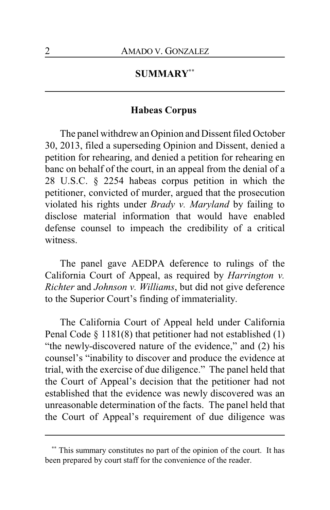#### **SUMMARY\*\***

#### **Habeas Corpus**

The panel withdrew an Opinion and Dissent filed October 30, 2013, filed a superseding Opinion and Dissent, denied a petition for rehearing, and denied a petition for rehearing en banc on behalf of the court, in an appeal from the denial of a 28 U.S.C. § 2254 habeas corpus petition in which the petitioner, convicted of murder, argued that the prosecution violated his rights under *Brady v. Maryland* by failing to disclose material information that would have enabled defense counsel to impeach the credibility of a critical witness.

The panel gave AEDPA deference to rulings of the California Court of Appeal, as required by *Harrington v. Richter* and *Johnson v. Williams*, but did not give deference to the Superior Court's finding of immateriality.

The California Court of Appeal held under California Penal Code § 1181(8) that petitioner had not established (1) "the newly-discovered nature of the evidence," and (2) his counsel's "inability to discover and produce the evidence at trial, with the exercise of due diligence." The panel held that the Court of Appeal's decision that the petitioner had not established that the evidence was newly discovered was an unreasonable determination of the facts. The panel held that the Court of Appeal's requirement of due diligence was

**<sup>\*\*</sup>** This summary constitutes no part of the opinion of the court. It has been prepared by court staff for the convenience of the reader.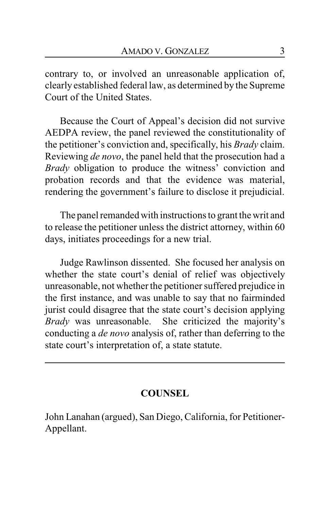contrary to, or involved an unreasonable application of, clearly established federal law, as determined by the Supreme Court of the United States.

Because the Court of Appeal's decision did not survive AEDPA review, the panel reviewed the constitutionality of the petitioner's conviction and, specifically, his *Brady* claim. Reviewing *de novo*, the panel held that the prosecution had a *Brady* obligation to produce the witness' conviction and probation records and that the evidence was material, rendering the government's failure to disclose it prejudicial.

The panel remanded with instructions to grant the writ and to release the petitioner unless the district attorney, within 60 days, initiates proceedings for a new trial.

Judge Rawlinson dissented. She focused her analysis on whether the state court's denial of relief was objectively unreasonable, not whether the petitioner suffered prejudice in the first instance, and was unable to say that no fairminded jurist could disagree that the state court's decision applying *Brady* was unreasonable. She criticized the majority's conducting a *de novo* analysis of, rather than deferring to the state court's interpretation of, a state statute.

# **COUNSEL**

John Lanahan (argued), San Diego, California, for Petitioner-Appellant.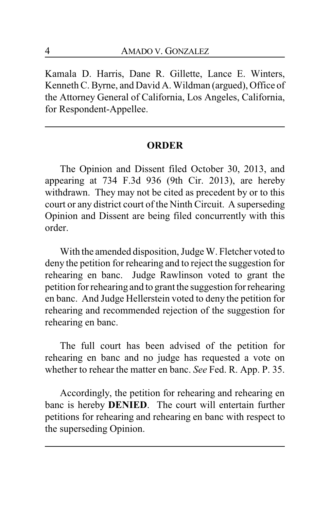Kamala D. Harris, Dane R. Gillette, Lance E. Winters, Kenneth C. Byrne, and David A. Wildman (argued), Office of the Attorney General of California, Los Angeles, California, for Respondent-Appellee.

#### **ORDER**

The Opinion and Dissent filed October 30, 2013, and appearing at 734 F.3d 936 (9th Cir. 2013), are hereby withdrawn. They may not be cited as precedent by or to this court or any district court of the Ninth Circuit. A superseding Opinion and Dissent are being filed concurrently with this order.

With the amended disposition, Judge W. Fletcher voted to deny the petition for rehearing and to reject the suggestion for rehearing en banc. Judge Rawlinson voted to grant the petition for rehearing and to grant the suggestion for rehearing en banc. And Judge Hellerstein voted to deny the petition for rehearing and recommended rejection of the suggestion for rehearing en banc.

The full court has been advised of the petition for rehearing en banc and no judge has requested a vote on whether to rehear the matter en banc. *See* Fed. R. App. P. 35.

Accordingly, the petition for rehearing and rehearing en banc is hereby **DENIED**. The court will entertain further petitions for rehearing and rehearing en banc with respect to the superseding Opinion.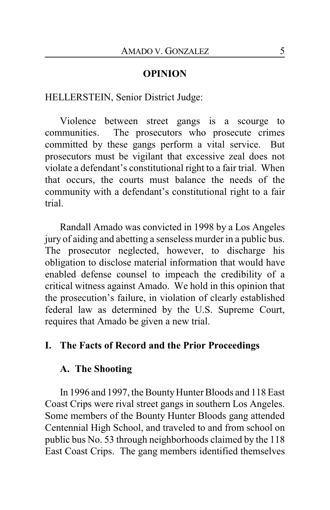### **OPINION**

HELLERSTEIN, Senior District Judge:

Violence between street gangs is a scourge to communities. The prosecutors who prosecute crimes committed by these gangs perform a vital service. But prosecutors must be vigilant that excessive zeal does not violate a defendant's constitutional right to a fair trial. When that occurs, the courts must balance the needs of the community with a defendant's constitutional right to a fair trial.

Randall Amado was convicted in 1998 by a Los Angeles jury of aiding and abetting a senseless murder in a public bus. The prosecutor neglected, however, to discharge his obligation to disclose material information that would have enabled defense counsel to impeach the credibility of a critical witness against Amado. We hold in this opinion that the prosecution's failure, in violation of clearly established federal law as determined by the U.S. Supreme Court, requires that Amado be given a new trial.

### **I. The Facts of Record and the Prior Proceedings**

### **A. The Shooting**

In 1996 and 1997, the Bounty Hunter Bloods and 118 East Coast Crips were rival street gangs in southern Los Angeles. Some members of the Bounty Hunter Bloods gang attended Centennial High School, and traveled to and from school on public bus No. 53 through neighborhoods claimed by the 118 East Coast Crips. The gang members identified themselves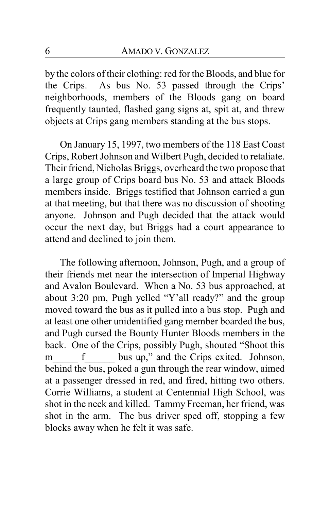by the colors of their clothing: red for the Bloods, and blue for the Crips. As bus No. 53 passed through the Crips' neighborhoods, members of the Bloods gang on board frequently taunted, flashed gang signs at, spit at, and threw objects at Crips gang members standing at the bus stops.

On January 15, 1997, two members of the 118 East Coast Crips, Robert Johnson and Wilbert Pugh, decided to retaliate. Their friend, Nicholas Briggs, overheard the two propose that a large group of Crips board bus No. 53 and attack Bloods members inside. Briggs testified that Johnson carried a gun at that meeting, but that there was no discussion of shooting anyone. Johnson and Pugh decided that the attack would occur the next day, but Briggs had a court appearance to attend and declined to join them.

The following afternoon, Johnson, Pugh, and a group of their friends met near the intersection of Imperial Highway and Avalon Boulevard. When a No. 53 bus approached, at about 3:20 pm, Pugh yelled "Y'all ready?" and the group moved toward the bus as it pulled into a bus stop. Pugh and at least one other unidentified gang member boarded the bus, and Pugh cursed the Bounty Hunter Bloods members in the back. One of the Crips, possibly Pugh, shouted "Shoot this m f bus up," and the Crips exited. Johnson, behind the bus, poked a gun through the rear window, aimed at a passenger dressed in red, and fired, hitting two others. Corrie Williams, a student at Centennial High School, was shot in the neck and killed. Tammy Freeman, her friend, was shot in the arm. The bus driver sped off, stopping a few blocks away when he felt it was safe.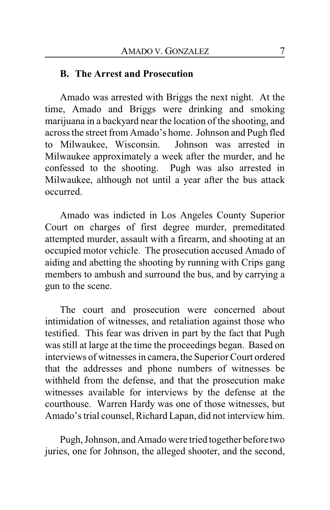### **B. The Arrest and Prosecution**

Amado was arrested with Briggs the next night. At the time, Amado and Briggs were drinking and smoking marijuana in a backyard near the location of the shooting, and across the street from Amado's home. Johnson and Pugh fled to Milwaukee, Wisconsin. Johnson was arrested in Milwaukee approximately a week after the murder, and he confessed to the shooting. Pugh was also arrested in Milwaukee, although not until a year after the bus attack occurred.

Amado was indicted in Los Angeles County Superior Court on charges of first degree murder, premeditated attempted murder, assault with a firearm, and shooting at an occupied motor vehicle. The prosecution accused Amado of aiding and abetting the shooting by running with Crips gang members to ambush and surround the bus, and by carrying a gun to the scene.

The court and prosecution were concerned about intimidation of witnesses, and retaliation against those who testified. This fear was driven in part by the fact that Pugh was still at large at the time the proceedings began. Based on interviews of witnesses in camera, the Superior Court ordered that the addresses and phone numbers of witnesses be withheld from the defense, and that the prosecution make witnesses available for interviews by the defense at the courthouse. Warren Hardy was one of those witnesses, but Amado's trial counsel, Richard Lapan, did not interview him.

Pugh, Johnson, and Amado were tried together before two juries, one for Johnson, the alleged shooter, and the second,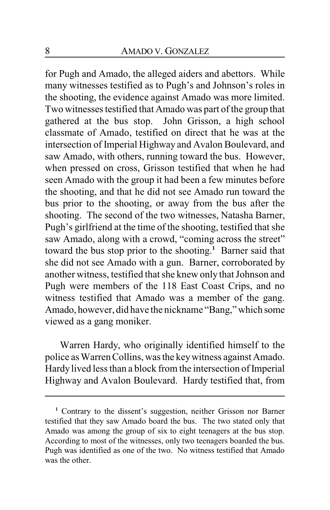for Pugh and Amado, the alleged aiders and abettors. While many witnesses testified as to Pugh's and Johnson's roles in the shooting, the evidence against Amado was more limited. Two witnesses testified that Amado was part of the group that gathered at the bus stop. John Grisson, a high school classmate of Amado, testified on direct that he was at the intersection of Imperial Highway and Avalon Boulevard, and saw Amado, with others, running toward the bus. However, when pressed on cross, Grisson testified that when he had seen Amado with the group it had been a few minutes before the shooting, and that he did not see Amado run toward the bus prior to the shooting, or away from the bus after the shooting. The second of the two witnesses, Natasha Barner, Pugh's girlfriend at the time of the shooting, testified that she saw Amado, along with a crowd, "coming across the street" toward the bus stop prior to the shooting. **<sup>1</sup>** Barner said that she did not see Amado with a gun. Barner, corroborated by another witness, testified that she knew only that Johnson and Pugh were members of the 118 East Coast Crips, and no witness testified that Amado was a member of the gang. Amado, however, did have the nickname "Bang," which some viewed as a gang moniker.

Warren Hardy, who originally identified himself to the police as Warren Collins, was the keywitness against Amado. Hardy lived less than a block from the intersection of Imperial Highway and Avalon Boulevard. Hardy testified that, from

**<sup>1</sup>** Contrary to the dissent's suggestion, neither Grisson nor Barner testified that they saw Amado board the bus. The two stated only that Amado was among the group of six to eight teenagers at the bus stop. According to most of the witnesses, only two teenagers boarded the bus. Pugh was identified as one of the two. No witness testified that Amado was the other.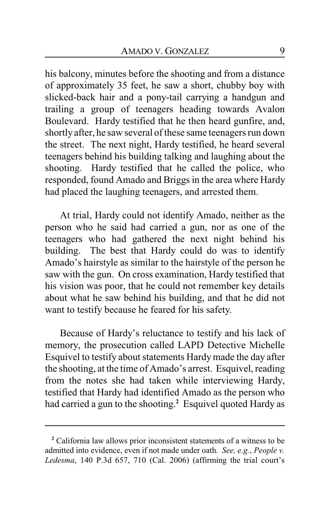his balcony, minutes before the shooting and from a distance of approximately 35 feet, he saw a short, chubby boy with slicked-back hair and a pony-tail carrying a handgun and trailing a group of teenagers heading towards Avalon Boulevard. Hardy testified that he then heard gunfire, and, shortly after, he saw several of these same teenagers run down the street. The next night, Hardy testified, he heard several teenagers behind his building talking and laughing about the shooting. Hardy testified that he called the police, who responded, found Amado and Briggs in the area where Hardy had placed the laughing teenagers, and arrested them.

At trial, Hardy could not identify Amado, neither as the person who he said had carried a gun, nor as one of the teenagers who had gathered the next night behind his building. The best that Hardy could do was to identify Amado's hairstyle as similar to the hairstyle of the person he saw with the gun. On cross examination, Hardy testified that his vision was poor, that he could not remember key details about what he saw behind his building, and that he did not want to testify because he feared for his safety.

Because of Hardy's reluctance to testify and his lack of memory, the prosecution called LAPD Detective Michelle Esquivel to testify about statements Hardymade the day after the shooting, at the time of Amado's arrest. Esquivel, reading from the notes she had taken while interviewing Hardy, testified that Hardy had identified Amado as the person who had carried a gun to the shooting. **<sup>2</sup>** Esquivel quoted Hardy as

**<sup>2</sup>** California law allows prior inconsistent statements of a witness to be admitted into evidence, even if not made under oath. *See, e.g.*, *People v. Ledesma*, 140 P.3d 657, 710 (Cal. 2006) (affirming the trial court's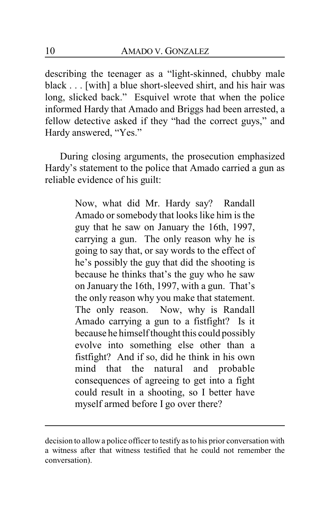describing the teenager as a "light-skinned, chubby male black . . . [with] a blue short-sleeved shirt, and his hair was long, slicked back." Esquivel wrote that when the police informed Hardy that Amado and Briggs had been arrested, a fellow detective asked if they "had the correct guys," and Hardy answered, "Yes."

During closing arguments, the prosecution emphasized Hardy's statement to the police that Amado carried a gun as reliable evidence of his guilt:

> Now, what did Mr. Hardy say? Randall Amado or somebody that looks like him is the guy that he saw on January the 16th, 1997, carrying a gun. The only reason why he is going to say that, or say words to the effect of he's possibly the guy that did the shooting is because he thinks that's the guy who he saw on January the 16th, 1997, with a gun. That's the only reason why you make that statement. The only reason. Now, why is Randall Amado carrying a gun to a fistfight? Is it because he himself thought this could possibly evolve into something else other than a fistfight? And if so, did he think in his own mind that the natural and probable consequences of agreeing to get into a fight could result in a shooting, so I better have myself armed before I go over there?

decision to allowa police officer to testify as to his prior conversation with a witness after that witness testified that he could not remember the conversation).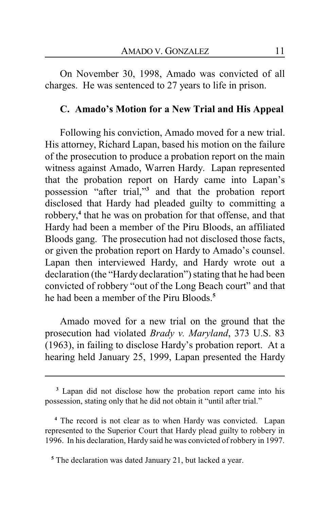On November 30, 1998, Amado was convicted of all charges. He was sentenced to 27 years to life in prison.

### **C. Amado's Motion for a New Trial and His Appeal**

Following his conviction, Amado moved for a new trial. His attorney, Richard Lapan, based his motion on the failure of the prosecution to produce a probation report on the main witness against Amado, Warren Hardy. Lapan represented that the probation report on Hardy came into Lapan's possession "after trial,"**<sup>3</sup>** and that the probation report disclosed that Hardy had pleaded guilty to committing a robbery,<sup>4</sup> that he was on probation for that offense, and that Hardy had been a member of the Piru Bloods, an affiliated Bloods gang. The prosecution had not disclosed those facts, or given the probation report on Hardy to Amado's counsel. Lapan then interviewed Hardy, and Hardy wrote out a declaration (the "Hardy declaration") stating that he had been convicted of robbery "out of the Long Beach court" and that he had been a member of the Piru Bloods.**<sup>5</sup>**

Amado moved for a new trial on the ground that the prosecution had violated *Brady v. Maryland*, 373 U.S. 83 (1963), in failing to disclose Hardy's probation report. At a hearing held January 25, 1999, Lapan presented the Hardy

**<sup>3</sup>** Lapan did not disclose how the probation report came into his possession, stating only that he did not obtain it "until after trial."

**<sup>4</sup>** The record is not clear as to when Hardy was convicted. Lapan represented to the Superior Court that Hardy plead guilty to robbery in 1996. In his declaration, Hardy said he was convicted of robbery in 1997.

<sup>&</sup>lt;sup>5</sup> The declaration was dated January 21, but lacked a year.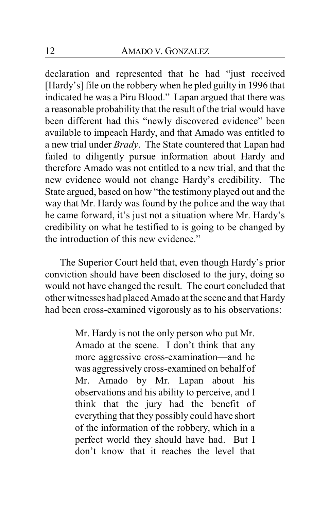declaration and represented that he had "just received [Hardy's] file on the robbery when he pled guilty in 1996 that indicated he was a Piru Blood." Lapan argued that there was a reasonable probability that the result of the trial would have been different had this "newly discovered evidence" been available to impeach Hardy, and that Amado was entitled to a new trial under *Brady*. The State countered that Lapan had failed to diligently pursue information about Hardy and therefore Amado was not entitled to a new trial, and that the new evidence would not change Hardy's credibility. The State argued, based on how "the testimony played out and the way that Mr. Hardy was found by the police and the way that he came forward, it's just not a situation where Mr. Hardy's credibility on what he testified to is going to be changed by the introduction of this new evidence."

The Superior Court held that, even though Hardy's prior conviction should have been disclosed to the jury, doing so would not have changed the result. The court concluded that other witnesses had placed Amado at the scene and that Hardy had been cross-examined vigorously as to his observations:

> Mr. Hardy is not the only person who put Mr. Amado at the scene. I don't think that any more aggressive cross-examination—and he was aggressively cross-examined on behalf of Mr. Amado by Mr. Lapan about his observations and his ability to perceive, and I think that the jury had the benefit of everything that they possibly could have short of the information of the robbery, which in a perfect world they should have had. But I don't know that it reaches the level that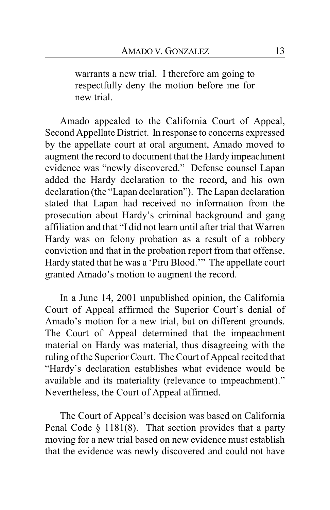warrants a new trial. I therefore am going to respectfully deny the motion before me for new trial.

Amado appealed to the California Court of Appeal, Second Appellate District. In response to concerns expressed by the appellate court at oral argument, Amado moved to augment the record to document that the Hardy impeachment evidence was "newly discovered." Defense counsel Lapan added the Hardy declaration to the record, and his own declaration (the "Lapan declaration"). The Lapan declaration stated that Lapan had received no information from the prosecution about Hardy's criminal background and gang affiliation and that "I did not learn until after trial that Warren Hardy was on felony probation as a result of a robbery conviction and that in the probation report from that offense, Hardy stated that he was a 'Piru Blood.'" The appellate court granted Amado's motion to augment the record.

In a June 14, 2001 unpublished opinion, the California Court of Appeal affirmed the Superior Court's denial of Amado's motion for a new trial, but on different grounds. The Court of Appeal determined that the impeachment material on Hardy was material, thus disagreeing with the ruling of the Superior Court. The Court of Appeal recited that "Hardy's declaration establishes what evidence would be available and its materiality (relevance to impeachment)." Nevertheless, the Court of Appeal affirmed.

The Court of Appeal's decision was based on California Penal Code § 1181(8). That section provides that a party moving for a new trial based on new evidence must establish that the evidence was newly discovered and could not have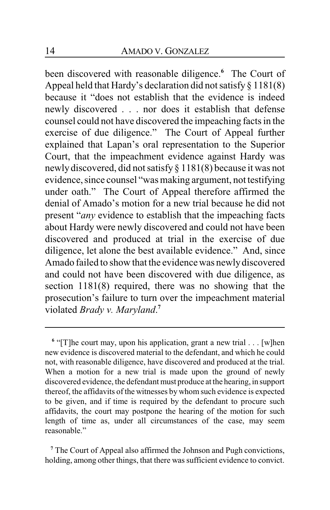been discovered with reasonable diligence. **<sup>6</sup>** The Court of Appeal held that Hardy's declaration did not satisfy  $\S 1181(8)$ because it "does not establish that the evidence is indeed newly discovered . . . nor does it establish that defense counsel could not have discovered the impeaching facts in the exercise of due diligence." The Court of Appeal further explained that Lapan's oral representation to the Superior Court, that the impeachment evidence against Hardy was newly discovered, did not satisfy § 1181(8) because it was not evidence, since counsel "was making argument, not testifying under oath." The Court of Appeal therefore affirmed the denial of Amado's motion for a new trial because he did not present "*any* evidence to establish that the impeaching facts about Hardy were newly discovered and could not have been discovered and produced at trial in the exercise of due diligence, let alone the best available evidence." And, since Amado failed to show that the evidence was newlydiscovered and could not have been discovered with due diligence, as section 1181(8) required, there was no showing that the prosecution's failure to turn over the impeachment material violated *Brady v. Maryland*. **7**

**<sup>7</sup>** The Court of Appeal also affirmed the Johnson and Pugh convictions, holding, among other things, that there was sufficient evidence to convict.

<sup>&</sup>lt;sup>6</sup> "[T]he court may, upon his application, grant a new trial . . . [w]hen new evidence is discovered material to the defendant, and which he could not, with reasonable diligence, have discovered and produced at the trial. When a motion for a new trial is made upon the ground of newly discovered evidence, the defendant must produce at the hearing, in support thereof, the affidavits of the witnesses by whom such evidence is expected to be given, and if time is required by the defendant to procure such affidavits, the court may postpone the hearing of the motion for such length of time as, under all circumstances of the case, may seem reasonable."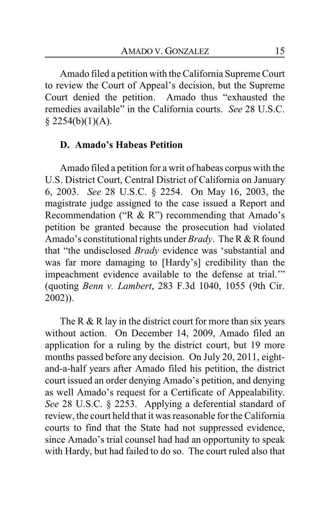Amado filed a petition with the California Supreme Court to review the Court of Appeal's decision, but the Supreme Court denied the petition. Amado thus "exhausted the remedies available" in the California courts. *See* 28 U.S.C.  $§$  2254(b)(1)(A).

### **D. Amado's Habeas Petition**

Amado filed a petition for a writ of habeas corpus with the U.S. District Court, Central District of California on January 6, 2003. *See* 28 U.S.C. § 2254. On May 16, 2003, the magistrate judge assigned to the case issued a Report and Recommendation ("R & R") recommending that Amado's petition be granted because the prosecution had violated Amado's constitutional rights under *Brady*. The R & R found that "the undisclosed *Brady* evidence was 'substantial and was far more damaging to [Hardy's] credibility than the impeachment evidence available to the defense at trial.'" (quoting *Benn v. Lambert*, 283 F.3d 1040, 1055 (9th Cir. 2002)).

The R  $&$  R lay in the district court for more than six years without action. On December 14, 2009, Amado filed an application for a ruling by the district court, but 19 more months passed before any decision. On July 20, 2011, eightand-a-half years after Amado filed his petition, the district court issued an order denying Amado's petition, and denying as well Amado's request for a Certificate of Appealability. *See* 28 U.S.C. § 2253. Applying a deferential standard of review, the court held that it was reasonable for the California courts to find that the State had not suppressed evidence, since Amado's trial counsel had had an opportunity to speak with Hardy, but had failed to do so. The court ruled also that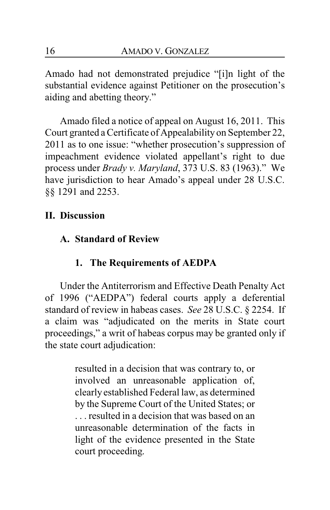Amado had not demonstrated prejudice "[i]n light of the substantial evidence against Petitioner on the prosecution's aiding and abetting theory."

Amado filed a notice of appeal on August 16, 2011. This Court granted a Certificate of Appealability on September 22, 2011 as to one issue: "whether prosecution's suppression of impeachment evidence violated appellant's right to due process under *Brady v. Maryland*, 373 U.S. 83 (1963)." We have jurisdiction to hear Amado's appeal under 28 U.S.C. §§ 1291 and 2253.

# **II. Discussion**

# **A. Standard of Review**

# **1. The Requirements of AEDPA**

Under the Antiterrorism and Effective Death Penalty Act of 1996 ("AEDPA") federal courts apply a deferential standard of review in habeas cases. *See* 28 U.S.C. § 2254. If a claim was "adjudicated on the merits in State court proceedings," a writ of habeas corpus may be granted only if the state court adjudication:

> resulted in a decision that was contrary to, or involved an unreasonable application of, clearly established Federal law, as determined by the Supreme Court of the United States; or . . . resulted in a decision that was based on an unreasonable determination of the facts in light of the evidence presented in the State court proceeding.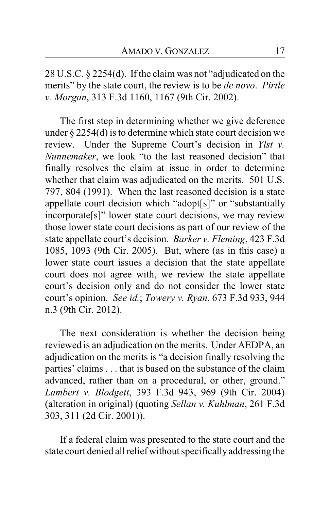28 U.S.C. § 2254(d). If the claim was not "adjudicated on the merits" by the state court, the review is to be *de novo*. *Pirtle v. Morgan*, 313 F.3d 1160, 1167 (9th Cir. 2002).

The first step in determining whether we give deference under § 2254(d) is to determine which state court decision we review. Under the Supreme Court's decision in *Ylst v. Nunnemaker*, we look "to the last reasoned decision" that finally resolves the claim at issue in order to determine whether that claim was adjudicated on the merits. 501 U.S. 797, 804 (1991). When the last reasoned decision is a state appellate court decision which "adopt[s]" or "substantially incorporate[s]" lower state court decisions, we may review those lower state court decisions as part of our review of the state appellate court's decision. *Barker v. Fleming*, 423 F.3d 1085, 1093 (9th Cir. 2005). But, where (as in this case) a lower state court issues a decision that the state appellate court does not agree with, we review the state appellate court's decision only and do not consider the lower state court's opinion. *See id.*; *Towery v. Ryan*, 673 F.3d 933, 944 n.3 (9th Cir. 2012).

The next consideration is whether the decision being reviewed is an adjudication on the merits. Under AEDPA, an adjudication on the merits is "a decision finally resolving the parties' claims . . . that is based on the substance of the claim advanced, rather than on a procedural, or other, ground." *Lambert v. Blodgett*, 393 F.3d 943, 969 (9th Cir. 2004) (alteration in original) (quoting *Sellan v. Kuhlman*, 261 F.3d 303, 311 (2d Cir. 2001)).

If a federal claim was presented to the state court and the state court denied all relief without specificallyaddressing the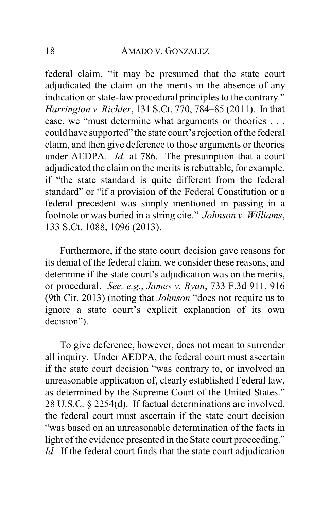federal claim, "it may be presumed that the state court adjudicated the claim on the merits in the absence of any indication or state-law procedural principles to the contrary." *Harrington v. Richter*, 131 S.Ct. 770, 784–85 (2011). In that case, we "must determine what arguments or theories . . . could have supported" the state court's rejection of the federal claim, and then give deference to those arguments or theories under AEDPA. *Id.* at 786. The presumption that a court adjudicated the claim on the merits is rebuttable, for example, if "the state standard is quite different from the federal standard" or "if a provision of the Federal Constitution or a federal precedent was simply mentioned in passing in a footnote or was buried in a string cite." *Johnson v. Williams*, 133 S.Ct. 1088, 1096 (2013).

Furthermore, if the state court decision gave reasons for its denial of the federal claim, we consider these reasons, and determine if the state court's adjudication was on the merits, or procedural. *See, e.g.*, *James v. Ryan*, 733 F.3d 911, 916 (9th Cir. 2013) (noting that *Johnson* "does not require us to ignore a state court's explicit explanation of its own decision").

To give deference, however, does not mean to surrender all inquiry. Under AEDPA, the federal court must ascertain if the state court decision "was contrary to, or involved an unreasonable application of, clearly established Federal law, as determined by the Supreme Court of the United States." 28 U.S.C. § 2254(d). If factual determinations are involved, the federal court must ascertain if the state court decision "was based on an unreasonable determination of the facts in light of the evidence presented in the State court proceeding." *Id.* If the federal court finds that the state court adjudication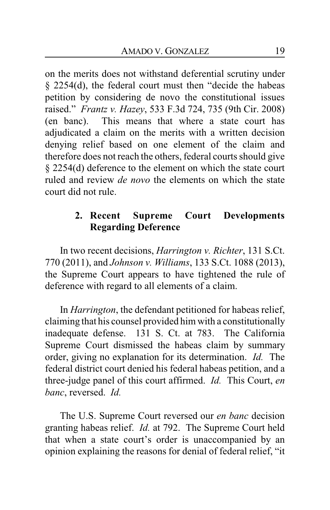on the merits does not withstand deferential scrutiny under § 2254(d), the federal court must then "decide the habeas petition by considering de novo the constitutional issues raised." *Frantz v. Hazey*, 533 F.3d 724, 735 (9th Cir. 2008) (en banc). This means that where a state court has adjudicated a claim on the merits with a written decision denying relief based on one element of the claim and therefore does not reach the others, federal courts should give § 2254(d) deference to the element on which the state court ruled and review *de novo* the elements on which the state court did not rule.

# **2. Recent Supreme Court Developments Regarding Deference**

In two recent decisions, *Harrington v. Richter*, 131 S.Ct. 770 (2011), and *Johnson v. Williams*, 133 S.Ct. 1088 (2013), the Supreme Court appears to have tightened the rule of deference with regard to all elements of a claim.

In *Harrington*, the defendant petitioned for habeas relief, claiming that his counsel provided him with a constitutionally inadequate defense. 131 S. Ct. at 783. The California Supreme Court dismissed the habeas claim by summary order, giving no explanation for its determination. *Id.* The federal district court denied his federal habeas petition, and a three-judge panel of this court affirmed. *Id.* This Court, *en banc*, reversed. *Id.*

The U.S. Supreme Court reversed our *en banc* decision granting habeas relief. *Id.* at 792. The Supreme Court held that when a state court's order is unaccompanied by an opinion explaining the reasons for denial of federal relief, "it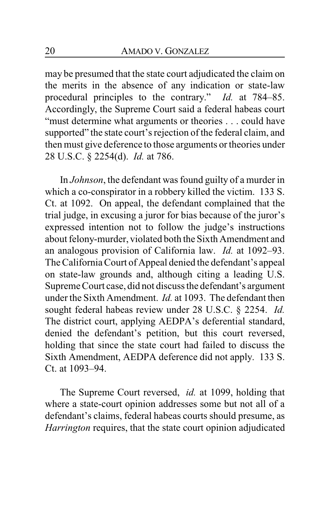may be presumed that the state court adjudicated the claim on the merits in the absence of any indication or state-law procedural principles to the contrary." *Id.* at 784–85. Accordingly, the Supreme Court said a federal habeas court "must determine what arguments or theories . . . could have supported" the state court's rejection of the federal claim, and then must give deference to those arguments or theories under 28 U.S.C. § 2254(d). *Id.* at 786.

In *Johnson*, the defendant was found guilty of a murder in which a co-conspirator in a robbery killed the victim. 133 S. Ct. at 1092. On appeal, the defendant complained that the trial judge, in excusing a juror for bias because of the juror's expressed intention not to follow the judge's instructions about felony-murder, violated both the Sixth Amendment and an analogous provision of California law. *Id.* at 1092–93. The California Court of Appeal denied the defendant's appeal on state-law grounds and, although citing a leading U.S. Supreme Court case, did not discuss the defendant's argument under the Sixth Amendment. *Id.* at 1093. The defendant then sought federal habeas review under 28 U.S.C. § 2254. *Id.*  The district court, applying AEDPA's deferential standard, denied the defendant's petition, but this court reversed, holding that since the state court had failed to discuss the Sixth Amendment, AEDPA deference did not apply. 133 S. Ct. at 1093–94.

The Supreme Court reversed, *id.* at 1099, holding that where a state-court opinion addresses some but not all of a defendant's claims, federal habeas courts should presume, as *Harrington* requires, that the state court opinion adjudicated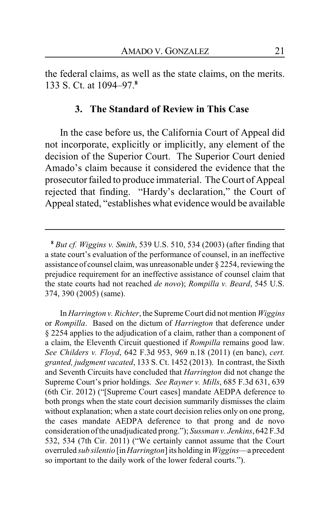the federal claims, as well as the state claims, on the merits. 133 S. Ct. at 1094–97.**<sup>8</sup>**

#### **3. The Standard of Review in This Case**

In the case before us, the California Court of Appeal did not incorporate, explicitly or implicitly, any element of the decision of the Superior Court. The Superior Court denied Amado's claim because it considered the evidence that the prosecutor failed to produce immaterial. The Court of Appeal rejected that finding. "Hardy's declaration," the Court of Appeal stated, "establishes what evidence would be available

In *Harrington v. Richter*, the Supreme Court did not mention *Wiggins* or *Rompilla*. Based on the dictum of *Harrington* that deference under § 2254 applies to the adjudication of a claim, rather than a component of a claim, the Eleventh Circuit questioned if *Rompilla* remains good law. *See Childers v. Floyd*, 642 F.3d 953, 969 n.18 (2011) (en banc), *cert. granted, judgment vacated*, 133 S. Ct. 1452 (2013). In contrast, the Sixth and Seventh Circuits have concluded that *Harrington* did not change the Supreme Court's prior holdings. *See Rayner v. Mills*, 685 F.3d 631, 639 (6th Cir. 2012) ("[Supreme Court cases] mandate AEDPA deference to both prongs when the state court decision summarily dismisses the claim without explanation; when a state court decision relies only on one prong, the cases mandate AEDPA deference to that prong and de novo consideration ofthe unadjudicated prong."); *Sussman v. Jenkins*, 642 F.3d 532, 534 (7th Cir. 2011) ("We certainly cannot assume that the Court overruled *sub silentio* [in*Harrington*] its holding in*Wiggins*—a precedent so important to the daily work of the lower federal courts.").

**<sup>8</sup>** *But cf. Wiggins v. Smith*, 539 U.S. 510, 534 (2003) (after finding that a state court's evaluation of the performance of counsel, in an ineffective assistance of counsel claim, was unreasonable under § 2254, reviewing the prejudice requirement for an ineffective assistance of counsel claim that the state courts had not reached *de novo*); *Rompilla v. Beard*, 545 U.S. 374, 390 (2005) (same).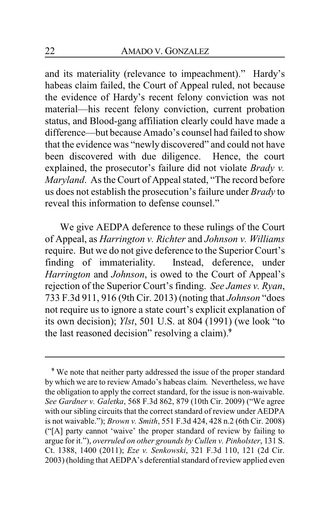and its materiality (relevance to impeachment)." Hardy's habeas claim failed, the Court of Appeal ruled, not because the evidence of Hardy's recent felony conviction was not material—his recent felony conviction, current probation status, and Blood-gang affiliation clearly could have made a difference—but because Amado's counsel had failed to show that the evidence was "newly discovered" and could not have been discovered with due diligence. Hence, the court explained, the prosecutor's failure did not violate *Brady v. Maryland*. As the Court of Appeal stated, "The record before us does not establish the prosecution's failure under *Brady* to reveal this information to defense counsel."

We give AEDPA deference to these rulings of the Court of Appeal, as *Harrington v. Richter* and *Johnson v. Williams* require. But we do not give deference to the Superior Court's finding of immateriality. Instead, deference, under *Harrington* and *Johnson*, is owed to the Court of Appeal's rejection of the Superior Court's finding. *See James v. Ryan*, 733 F.3d 911, 916 (9th Cir. 2013) (noting that *Johnson* "does not require us to ignore a state court's explicit explanation of its own decision); *Ylst*, 501 U.S. at 804 (1991) (we look "to the last reasoned decision" resolving a claim).**<sup>9</sup>**

**<sup>9</sup>** We note that neither party addressed the issue of the proper standard by which we are to review Amado's habeas claim. Nevertheless, we have the obligation to apply the correct standard, for the issue is non-waivable. *See Gardner v. Galetka*, 568 F.3d 862, 879 (10th Cir. 2009) ("We agree with our sibling circuits that the correct standard of review under AEDPA is not waivable."); *Brown v. Smith*, 551 F.3d 424, 428 n.2 (6th Cir. 2008) ("[A] party cannot 'waive' the proper standard of review by failing to argue for it."), *overruled on other grounds by Cullen v. Pinholster*, 131 S. Ct. 1388, 1400 (2011); *Eze v. Senkowski*, 321 F.3d 110, 121 (2d Cir. 2003) (holding that AEDPA's deferential standard ofreview applied even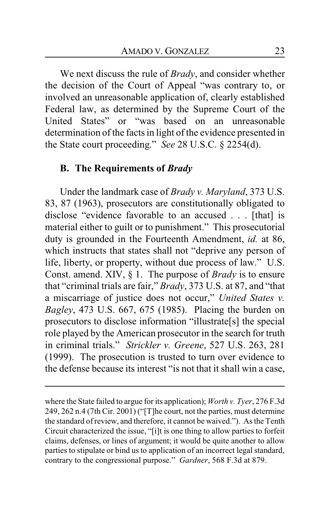We next discuss the rule of *Brady*, and consider whether the decision of the Court of Appeal "was contrary to, or involved an unreasonable application of, clearly established Federal law, as determined by the Supreme Court of the United States" or "was based on an unreasonable determination of the facts in light of the evidence presented in the State court proceeding." *See* 28 U.S.C. § 2254(d).

### **B. The Requirements of** *Brady*

Under the landmark case of *Brady v. Maryland*, 373 U.S. 83, 87 (1963), prosecutors are constitutionally obligated to disclose "evidence favorable to an accused . . . [that] is material either to guilt or to punishment." This prosecutorial duty is grounded in the Fourteenth Amendment, *id.* at 86, which instructs that states shall not "deprive any person of life, liberty, or property, without due process of law." U.S. Const. amend. XIV, § 1. The purpose of *Brady* is to ensure that "criminal trials are fair," *Brady*, 373 U.S. at 87, and "that a miscarriage of justice does not occur," *United States v. Bagley*, 473 U.S. 667, 675 (1985). Placing the burden on prosecutors to disclose information "illustrate[s] the special role played by the American prosecutor in the search for truth in criminal trials." *Strickler v. Greene*, 527 U.S. 263, 281 (1999). The prosecution is trusted to turn over evidence to the defense because its interest "is not that it shall win a case,

where the State failed to argue for its application); *Worth v. Tyer*, 276 F.3d 249, 262 n.4 (7th Cir. 2001) ("[T]he court, not the parties, must determine the standard ofreview, and therefore, it cannot be waived."). As the Tenth Circuit characterized the issue, "[i]t is one thing to allow parties to forfeit claims, defenses, or lines of argument; it would be quite another to allow parties to stipulate or bind us to application of an incorrect legal standard, contrary to the congressional purpose." *Gardner*, 568 F.3d at 879.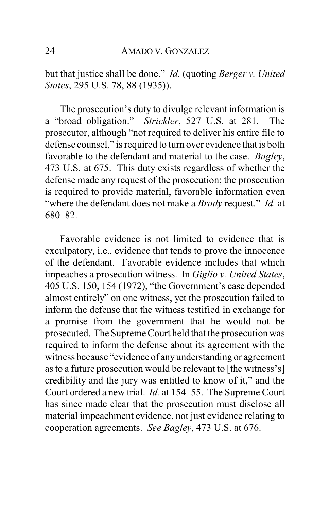but that justice shall be done." *Id.* (quoting *Berger v. United States*, 295 U.S. 78, 88 (1935)).

The prosecution's duty to divulge relevant information is a "broad obligation." *Strickler*, 527 U.S. at 281. The prosecutor, although "not required to deliver his entire file to defense counsel," is required to turn over evidence that is both favorable to the defendant and material to the case. *Bagley*, 473 U.S. at 675. This duty exists regardless of whether the defense made any request of the prosecution; the prosecution is required to provide material, favorable information even "where the defendant does not make a *Brady* request." *Id.* at 680–82.

Favorable evidence is not limited to evidence that is exculpatory, i.e., evidence that tends to prove the innocence of the defendant. Favorable evidence includes that which impeaches a prosecution witness. In *Giglio v. United States*, 405 U.S. 150, 154 (1972), "the Government's case depended almost entirely" on one witness, yet the prosecution failed to inform the defense that the witness testified in exchange for a promise from the government that he would not be prosecuted. The Supreme Court held that the prosecution was required to inform the defense about its agreement with the witness because "evidence of anyunderstanding or agreement as to a future prosecution would be relevant to [the witness's] credibility and the jury was entitled to know of it," and the Court ordered a new trial. *Id.* at 154–55. The Supreme Court has since made clear that the prosecution must disclose all material impeachment evidence, not just evidence relating to cooperation agreements. *See Bagley*, 473 U.S. at 676.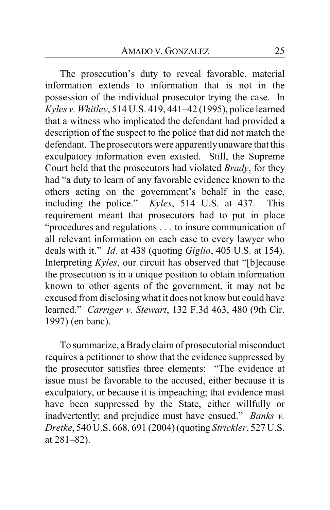The prosecution's duty to reveal favorable, material information extends to information that is not in the possession of the individual prosecutor trying the case. In *Kyles v. Whitley*, 514 U.S. 419, 441–42 (1995), police learned that a witness who implicated the defendant had provided a description of the suspect to the police that did not match the defendant. The prosecutors were apparentlyunaware that this exculpatory information even existed. Still, the Supreme Court held that the prosecutors had violated *Brady*, for they had "a duty to learn of any favorable evidence known to the others acting on the government's behalf in the case, including the police." *Kyles*, 514 U.S. at 437. This requirement meant that prosecutors had to put in place "procedures and regulations . . . to insure communication of all relevant information on each case to every lawyer who deals with it." *Id.* at 438 (quoting *Giglio*, 405 U.S. at 154). Interpreting *Kyles*, our circuit has observed that "[b]ecause the prosecution is in a unique position to obtain information known to other agents of the government, it may not be excused from disclosingwhat it does not know but could have learned." *Carriger v. Stewart*, 132 F.3d 463, 480 (9th Cir. 1997) (en banc).

To summarize, a Bradyclaim of prosecutorial misconduct requires a petitioner to show that the evidence suppressed by the prosecutor satisfies three elements: "The evidence at issue must be favorable to the accused, either because it is exculpatory, or because it is impeaching; that evidence must have been suppressed by the State, either willfully or inadvertently; and prejudice must have ensued." *Banks v. Dretke*, 540 U.S. 668, 691 (2004) (quoting *Strickler*, 527 U.S. at 281–82).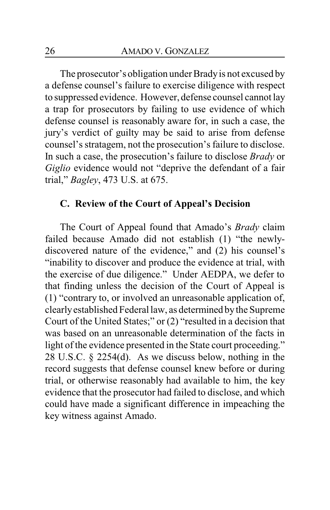The prosecutor's obligation under Bradyis not excused by a defense counsel's failure to exercise diligence with respect to suppressed evidence. However, defense counsel cannot lay a trap for prosecutors by failing to use evidence of which defense counsel is reasonably aware for, in such a case, the jury's verdict of guilty may be said to arise from defense counsel's stratagem, not the prosecution's failure to disclose. In such a case, the prosecution's failure to disclose *Brady* or *Giglio* evidence would not "deprive the defendant of a fair trial," *Bagley*, 473 U.S. at 675.

### **C. Review of the Court of Appeal's Decision**

The Court of Appeal found that Amado's *Brady* claim failed because Amado did not establish (1) "the newlydiscovered nature of the evidence," and (2) his counsel's "inability to discover and produce the evidence at trial, with the exercise of due diligence." Under AEDPA, we defer to that finding unless the decision of the Court of Appeal is (1) "contrary to, or involved an unreasonable application of, clearlyestablished Federal law, as determined bythe Supreme Court of the United States;" or (2) "resulted in a decision that was based on an unreasonable determination of the facts in light of the evidence presented in the State court proceeding." 28 U.S.C. § 2254(d). As we discuss below, nothing in the record suggests that defense counsel knew before or during trial, or otherwise reasonably had available to him, the key evidence that the prosecutor had failed to disclose, and which could have made a significant difference in impeaching the key witness against Amado.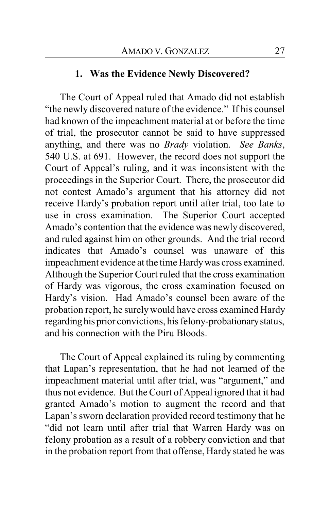### **1. Was the Evidence Newly Discovered?**

The Court of Appeal ruled that Amado did not establish "the newly discovered nature of the evidence." If his counsel had known of the impeachment material at or before the time of trial, the prosecutor cannot be said to have suppressed anything, and there was no *Brady* violation. *See Banks*, 540 U.S. at 691. However, the record does not support the Court of Appeal's ruling, and it was inconsistent with the proceedings in the Superior Court. There, the prosecutor did not contest Amado's argument that his attorney did not receive Hardy's probation report until after trial, too late to use in cross examination. The Superior Court accepted Amado's contention that the evidence was newly discovered, and ruled against him on other grounds. And the trial record indicates that Amado's counsel was unaware of this impeachment evidence at the time Hardywas cross examined. Although the Superior Court ruled that the cross examination of Hardy was vigorous, the cross examination focused on Hardy's vision. Had Amado's counsel been aware of the probation report, he surelywould have cross examined Hardy regarding his prior convictions, his felony-probationarystatus, and his connection with the Piru Bloods.

The Court of Appeal explained its ruling by commenting that Lapan's representation, that he had not learned of the impeachment material until after trial, was "argument," and thus not evidence. But the Court of Appeal ignored that it had granted Amado's motion to augment the record and that Lapan's sworn declaration provided record testimony that he "did not learn until after trial that Warren Hardy was on felony probation as a result of a robbery conviction and that in the probation report from that offense, Hardy stated he was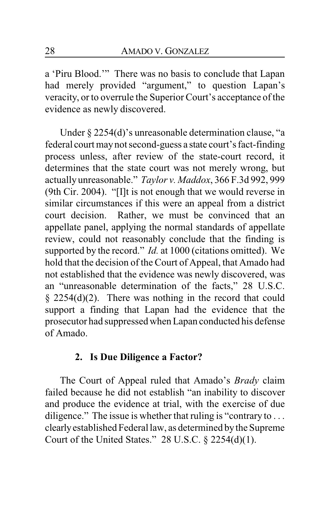a 'Piru Blood.'" There was no basis to conclude that Lapan had merely provided "argument," to question Lapan's veracity, or to overrule the Superior Court's acceptance of the evidence as newly discovered.

Under § 2254(d)'s unreasonable determination clause, "a federal court maynot second-guess a state court's fact-finding process unless, after review of the state-court record, it determines that the state court was not merely wrong, but actually unreasonable." *Taylor v. Maddox*, 366 F.3d 992, 999 (9th Cir. 2004). "[I]t is not enough that we would reverse in similar circumstances if this were an appeal from a district court decision. Rather, we must be convinced that an appellate panel, applying the normal standards of appellate review, could not reasonably conclude that the finding is supported by the record." *Id.* at 1000 (citations omitted). We hold that the decision of the Court of Appeal, that Amado had not established that the evidence was newly discovered, was an "unreasonable determination of the facts," 28 U.S.C.  $§$  2254(d)(2). There was nothing in the record that could support a finding that Lapan had the evidence that the prosecutor had suppressed when Lapan conducted his defense of Amado.

### **2. Is Due Diligence a Factor?**

The Court of Appeal ruled that Amado's *Brady* claim failed because he did not establish "an inability to discover and produce the evidence at trial, with the exercise of due diligence." The issue is whether that ruling is "contrary to ... clearlyestablished Federal law, as determined bythe Supreme Court of the United States." 28 U.S.C. § 2254(d)(1).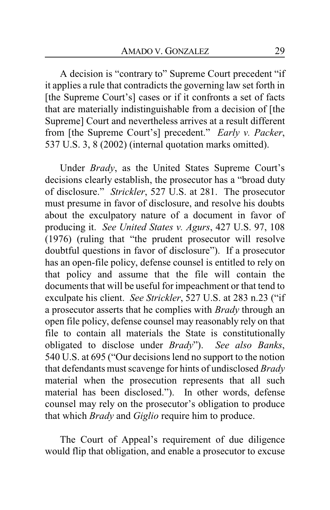A decision is "contrary to" Supreme Court precedent "if it applies a rule that contradicts the governing law set forth in [the Supreme Court's] cases or if it confronts a set of facts that are materially indistinguishable from a decision of [the Supreme] Court and nevertheless arrives at a result different from [the Supreme Court's] precedent." *Early v. Packer*, 537 U.S. 3, 8 (2002) (internal quotation marks omitted).

Under *Brady*, as the United States Supreme Court's decisions clearly establish, the prosecutor has a "broad duty of disclosure." *Strickler*, 527 U.S. at 281. The prosecutor must presume in favor of disclosure, and resolve his doubts about the exculpatory nature of a document in favor of producing it. *See United States v. Agurs*, 427 U.S. 97, 108 (1976) (ruling that "the prudent prosecutor will resolve doubtful questions in favor of disclosure"). If a prosecutor has an open-file policy, defense counsel is entitled to rely on that policy and assume that the file will contain the documents that will be useful for impeachment or that tend to exculpate his client. *See Strickler*, 527 U.S. at 283 n.23 ("if a prosecutor asserts that he complies with *Brady* through an open file policy, defense counsel may reasonably rely on that file to contain all materials the State is constitutionally obligated to disclose under *Brady*"). *See also Banks*, 540 U.S. at 695 ("Our decisions lend no support to the notion that defendants must scavenge for hints of undisclosed *Brady* material when the prosecution represents that all such material has been disclosed."). In other words, defense counsel may rely on the prosecutor's obligation to produce that which *Brady* and *Giglio* require him to produce.

The Court of Appeal's requirement of due diligence would flip that obligation, and enable a prosecutor to excuse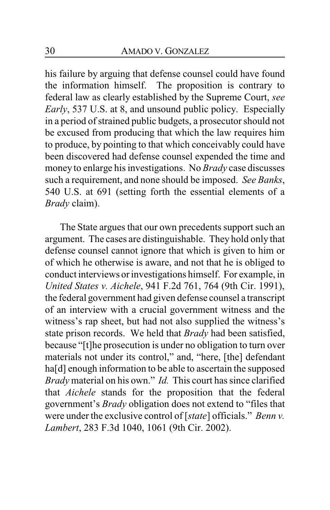his failure by arguing that defense counsel could have found the information himself. The proposition is contrary to federal law as clearly established by the Supreme Court, *see Early*, 537 U.S. at 8, and unsound public policy. Especially in a period of strained public budgets, a prosecutor should not be excused from producing that which the law requires him to produce, by pointing to that which conceivably could have been discovered had defense counsel expended the time and money to enlarge his investigations. No *Brady* case discusses such a requirement, and none should be imposed. *See Banks*, 540 U.S. at 691 (setting forth the essential elements of a *Brady* claim).

The State argues that our own precedents support such an argument. The cases are distinguishable. They hold only that defense counsel cannot ignore that which is given to him or of which he otherwise is aware, and not that he is obliged to conduct interviews or investigations himself. For example, in *United States v. Aichele*, 941 F.2d 761, 764 (9th Cir. 1991), the federal government had given defense counsel a transcript of an interview with a crucial government witness and the witness's rap sheet, but had not also supplied the witness's state prison records. We held that *Brady* had been satisfied, because "[t]he prosecution is under no obligation to turn over materials not under its control," and, "here, [the] defendant ha<sup>[d]</sup> enough information to be able to ascertain the supposed *Brady* material on his own." *Id.* This court has since clarified that *Aichele* stands for the proposition that the federal government's *Brady* obligation does not extend to "files that were under the exclusive control of [*state*] officials." *Benn v. Lambert*, 283 F.3d 1040, 1061 (9th Cir. 2002).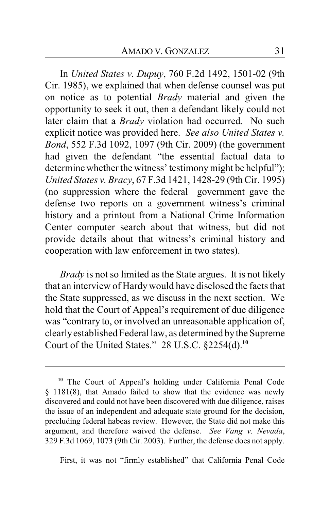In *United States v. Dupuy*, 760 F.2d 1492, 1501-02 (9th Cir. 1985), we explained that when defense counsel was put on notice as to potential *Brady* material and given the opportunity to seek it out, then a defendant likely could not later claim that a *Brady* violation had occurred. No such explicit notice was provided here. *See also United States v. Bond*, 552 F.3d 1092, 1097 (9th Cir. 2009) (the government had given the defendant "the essential factual data to determine whether the witness' testimony might be helpful"); *United States v. Bracy*, 67 F.3d 1421, 1428-29 (9th Cir. 1995) (no suppression where the federal government gave the defense two reports on a government witness's criminal history and a printout from a National Crime Information Center computer search about that witness, but did not provide details about that witness's criminal history and cooperation with law enforcement in two states).

*Brady* is not so limited as the State argues. It is not likely that an interview of Hardywould have disclosed the facts that the State suppressed, as we discuss in the next section. We hold that the Court of Appeal's requirement of due diligence was "contrary to, or involved an unreasonable application of, clearlyestablished Federal law, as determined bythe Supreme Court of the United States." 28 U.S.C. §2254(d).**<sup>10</sup>**

First, it was not "firmly established" that California Penal Code

**<sup>10</sup>** The Court of Appeal's holding under California Penal Code § 1181(8), that Amado failed to show that the evidence was newly discovered and could not have been discovered with due diligence, raises the issue of an independent and adequate state ground for the decision, precluding federal habeas review. However, the State did not make this argument, and therefore waived the defense. *See Vang v. Nevada*, 329 F.3d 1069, 1073 (9th Cir. 2003). Further, the defense does not apply.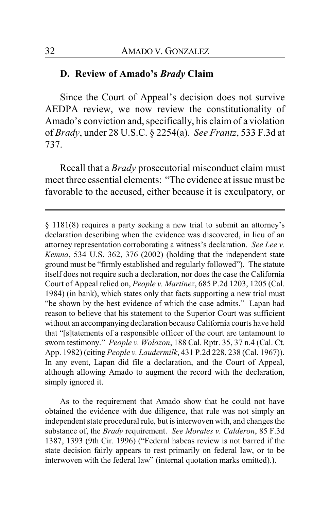#### **D. Review of Amado's** *Brady* **Claim**

Since the Court of Appeal's decision does not survive AEDPA review, we now review the constitutionality of Amado's conviction and, specifically, his claim of a violation of *Brady*, under 28 U.S.C. § 2254(a). *See Frantz*, 533 F.3d at 737.

Recall that a *Brady* prosecutorial misconduct claim must meet three essential elements: "The evidence at issue must be favorable to the accused, either because it is exculpatory, or

As to the requirement that Amado show that he could not have obtained the evidence with due diligence, that rule was not simply an independent state procedural rule, but is interwoven with, and changes the substance of, the *Brady* requirement. *See Morales v. Calderon*, 85 F.3d 1387, 1393 (9th Cir. 1996) ("Federal habeas review is not barred if the state decision fairly appears to rest primarily on federal law, or to be interwoven with the federal law" (internal quotation marks omitted).).

<sup>§</sup> 1181(8) requires a party seeking a new trial to submit an attorney's declaration describing when the evidence was discovered, in lieu of an attorney representation corroborating a witness's declaration. *See Lee v. Kemna*, 534 U.S. 362, 376 (2002) (holding that the independent state ground must be "firmly established and regularly followed"). The statute itself does not require such a declaration, nor does the case the California Court of Appeal relied on, *People v. Martinez*, 685 P.2d 1203, 1205 (Cal. 1984) (in bank), which states only that facts supporting a new trial must "be shown by the best evidence of which the case admits." Lapan had reason to believe that his statement to the Superior Court was sufficient without an accompanying declaration because California courts have held that "[s]tatements of a responsible officer of the court are tantamount to sworn testimony." *People v. Wolozon*, 188 Cal. Rptr. 35, 37 n.4 (Cal. Ct. App. 1982) (citing *People v. Laudermilk*, 431 P.2d 228, 238 (Cal. 1967)). In any event, Lapan did file a declaration, and the Court of Appeal, although allowing Amado to augment the record with the declaration, simply ignored it.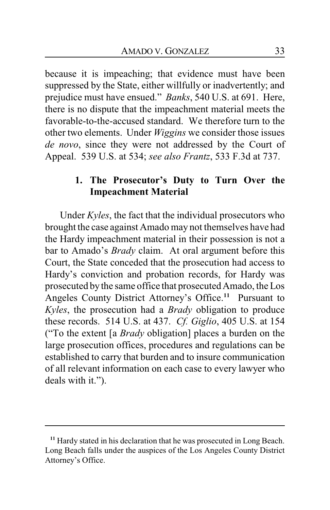because it is impeaching; that evidence must have been suppressed by the State, either willfully or inadvertently; and prejudice must have ensued." *Banks*, 540 U.S. at 691. Here, there is no dispute that the impeachment material meets the favorable-to-the-accused standard. We therefore turn to the other two elements. Under *Wiggins* we consider those issues *de novo*, since they were not addressed by the Court of Appeal. 539 U.S. at 534; *see also Frantz*, 533 F.3d at 737.

# **1. The Prosecutor's Duty to Turn Over the Impeachment Material**

Under *Kyles*, the fact that the individual prosecutors who brought the case against Amado may not themselves have had the Hardy impeachment material in their possession is not a bar to Amado's *Brady* claim. At oral argument before this Court, the State conceded that the prosecution had access to Hardy's conviction and probation records, for Hardy was prosecuted bythe same office that prosecuted Amado, the Los Angeles County District Attorney's Office. **<sup>11</sup>** Pursuant to *Kyles*, the prosecution had a *Brady* obligation to produce these records. 514 U.S. at 437. *Cf. Giglio*, 405 U.S. at 154 ("To the extent [a *Brady* obligation] places a burden on the large prosecution offices, procedures and regulations can be established to carry that burden and to insure communication of all relevant information on each case to every lawyer who deals with it.").

**<sup>11</sup>** Hardy stated in his declaration that he was prosecuted in Long Beach. Long Beach falls under the auspices of the Los Angeles County District Attorney's Office.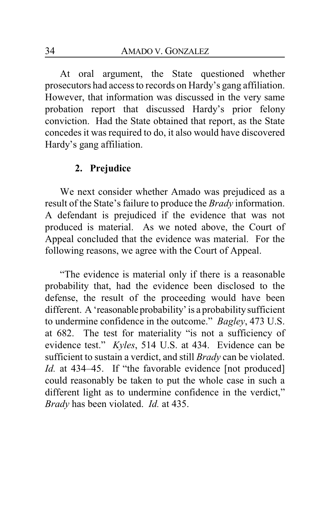At oral argument, the State questioned whether prosecutors had access to records on Hardy's gang affiliation. However, that information was discussed in the very same probation report that discussed Hardy's prior felony conviction. Had the State obtained that report, as the State concedes it was required to do, it also would have discovered Hardy's gang affiliation.

### **2. Prejudice**

We next consider whether Amado was prejudiced as a result of the State's failure to produce the *Brady* information. A defendant is prejudiced if the evidence that was not produced is material. As we noted above, the Court of Appeal concluded that the evidence was material. For the following reasons, we agree with the Court of Appeal.

"The evidence is material only if there is a reasonable probability that, had the evidence been disclosed to the defense, the result of the proceeding would have been different. A 'reasonable probability' is a probability sufficient to undermine confidence in the outcome." *Bagley*, 473 U.S. at 682. The test for materiality "is not a sufficiency of evidence test." *Kyles*, 514 U.S. at 434. Evidence can be sufficient to sustain a verdict, and still *Brady* can be violated. *Id.* at 434–45. If "the favorable evidence [not produced] could reasonably be taken to put the whole case in such a different light as to undermine confidence in the verdict," *Brady* has been violated. *Id.* at 435.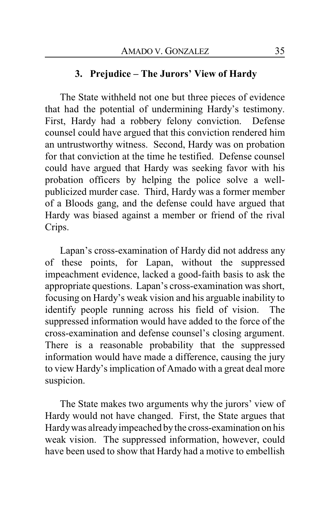### **3. Prejudice – The Jurors' View of Hardy**

The State withheld not one but three pieces of evidence that had the potential of undermining Hardy's testimony. First, Hardy had a robbery felony conviction. Defense counsel could have argued that this conviction rendered him an untrustworthy witness. Second, Hardy was on probation for that conviction at the time he testified. Defense counsel could have argued that Hardy was seeking favor with his probation officers by helping the police solve a wellpublicized murder case. Third, Hardy was a former member of a Bloods gang, and the defense could have argued that Hardy was biased against a member or friend of the rival Crips.

Lapan's cross-examination of Hardy did not address any of these points, for Lapan, without the suppressed impeachment evidence, lacked a good-faith basis to ask the appropriate questions. Lapan's cross-examination was short, focusing on Hardy's weak vision and his arguable inability to identify people running across his field of vision. The suppressed information would have added to the force of the cross-examination and defense counsel's closing argument. There is a reasonable probability that the suppressed information would have made a difference, causing the jury to view Hardy's implication of Amado with a great deal more suspicion.

The State makes two arguments why the jurors' view of Hardy would not have changed. First, the State argues that Hardywas alreadyimpeached bythe cross-examination on his weak vision. The suppressed information, however, could have been used to show that Hardy had a motive to embellish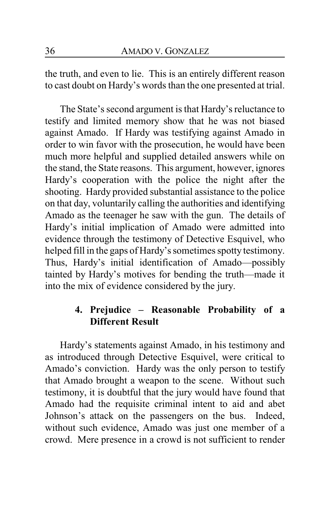the truth, and even to lie. This is an entirely different reason to cast doubt on Hardy's words than the one presented at trial.

The State's second argument is that Hardy's reluctance to testify and limited memory show that he was not biased against Amado. If Hardy was testifying against Amado in order to win favor with the prosecution, he would have been much more helpful and supplied detailed answers while on the stand, the State reasons. This argument, however, ignores Hardy's cooperation with the police the night after the shooting. Hardy provided substantial assistance to the police on that day, voluntarily calling the authorities and identifying Amado as the teenager he saw with the gun. The details of Hardy's initial implication of Amado were admitted into evidence through the testimony of Detective Esquivel, who helped fill in the gaps of Hardy's sometimes spotty testimony. Thus, Hardy's initial identification of Amado—possibly tainted by Hardy's motives for bending the truth—made it into the mix of evidence considered by the jury.

# **4. Prejudice – Reasonable Probability of a Different Result**

Hardy's statements against Amado, in his testimony and as introduced through Detective Esquivel, were critical to Amado's conviction. Hardy was the only person to testify that Amado brought a weapon to the scene. Without such testimony, it is doubtful that the jury would have found that Amado had the requisite criminal intent to aid and abet Johnson's attack on the passengers on the bus. Indeed, without such evidence, Amado was just one member of a crowd. Mere presence in a crowd is not sufficient to render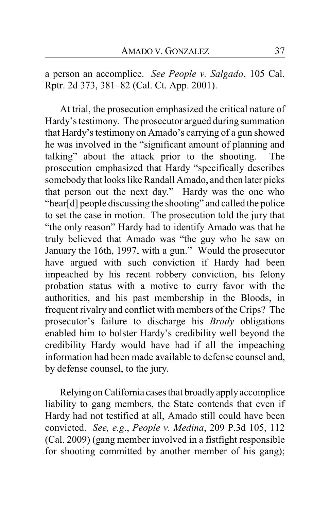a person an accomplice. *See People v. Salgado*, 105 Cal. Rptr. 2d 373, 381–82 (Cal. Ct. App. 2001).

At trial, the prosecution emphasized the critical nature of Hardy's testimony. The prosecutor argued during summation that Hardy's testimony on Amado's carrying of a gun showed he was involved in the "significant amount of planning and talking" about the attack prior to the shooting. The prosecution emphasized that Hardy "specifically describes somebody that looks like Randall Amado, and then later picks that person out the next day." Hardy was the one who "hear[d] people discussing the shooting" and called the police to set the case in motion. The prosecution told the jury that "the only reason" Hardy had to identify Amado was that he truly believed that Amado was "the guy who he saw on January the 16th, 1997, with a gun." Would the prosecutor have argued with such conviction if Hardy had been impeached by his recent robbery conviction, his felony probation status with a motive to curry favor with the authorities, and his past membership in the Bloods, in frequent rivalry and conflict with members of the Crips? The prosecutor's failure to discharge his *Brady* obligations enabled him to bolster Hardy's credibility well beyond the credibility Hardy would have had if all the impeaching information had been made available to defense counsel and, by defense counsel, to the jury.

Relying on California cases that broadlyapplyaccomplice liability to gang members, the State contends that even if Hardy had not testified at all, Amado still could have been convicted. *See, e.g*., *People v. Medina*, 209 P.3d 105, 112 (Cal. 2009) (gang member involved in a fistfight responsible for shooting committed by another member of his gang);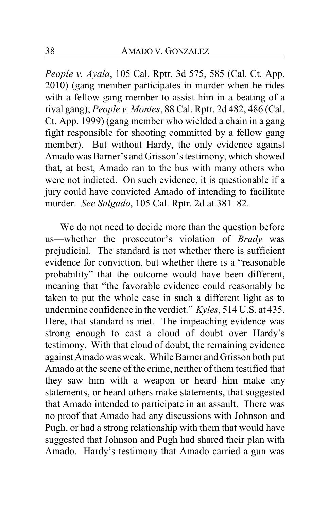*People v. Ayala*, 105 Cal. Rptr. 3d 575, 585 (Cal. Ct. App. 2010) (gang member participates in murder when he rides with a fellow gang member to assist him in a beating of a rival gang); *People v. Montes*, 88 Cal. Rptr. 2d 482, 486 (Cal. Ct. App. 1999) (gang member who wielded a chain in a gang fight responsible for shooting committed by a fellow gang member). But without Hardy, the only evidence against Amado was Barner's and Grisson's testimony, which showed that, at best, Amado ran to the bus with many others who were not indicted. On such evidence, it is questionable if a jury could have convicted Amado of intending to facilitate murder. *See Salgado*, 105 Cal. Rptr. 2d at 381–82.

We do not need to decide more than the question before us—whether the prosecutor's violation of *Brady* was prejudicial. The standard is not whether there is sufficient evidence for conviction, but whether there is a "reasonable probability" that the outcome would have been different, meaning that "the favorable evidence could reasonably be taken to put the whole case in such a different light as to undermine confidence in the verdict." *Kyles*, 514 U.S. at 435. Here, that standard is met. The impeaching evidence was strong enough to cast a cloud of doubt over Hardy's testimony. With that cloud of doubt, the remaining evidence against Amado was weak. While Barner and Grisson both put Amado at the scene of the crime, neither of them testified that they saw him with a weapon or heard him make any statements, or heard others make statements, that suggested that Amado intended to participate in an assault. There was no proof that Amado had any discussions with Johnson and Pugh, or had a strong relationship with them that would have suggested that Johnson and Pugh had shared their plan with Amado. Hardy's testimony that Amado carried a gun was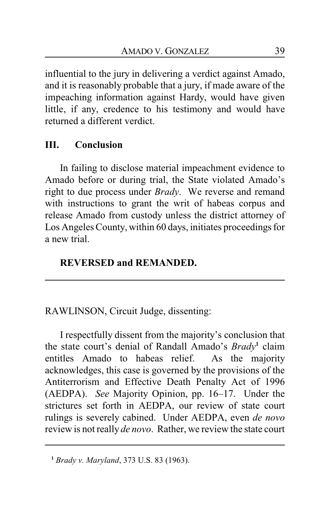influential to the jury in delivering a verdict against Amado, and it is reasonably probable that a jury, if made aware of the impeaching information against Hardy, would have given little, if any, credence to his testimony and would have returned a different verdict.

# **III. Conclusion**

In failing to disclose material impeachment evidence to Amado before or during trial, the State violated Amado's right to due process under *Brady*. We reverse and remand with instructions to grant the writ of habeas corpus and release Amado from custody unless the district attorney of Los Angeles County, within 60 days, initiates proceedings for a new trial.

# **REVERSED and REMANDED.**

RAWLINSON, Circuit Judge, dissenting:

I respectfully dissent from the majority's conclusion that the state court's denial of Randall Amado's *Brady***<sup>1</sup>** claim entitles Amado to habeas relief. As the majority acknowledges, this case is governed by the provisions of the Antiterrorism and Effective Death Penalty Act of 1996 (AEDPA). *See* Majority Opinion, pp. 16–17. Under the strictures set forth in AEDPA, our review of state court rulings is severely cabined. Under AEDPA, even *de novo* review is not really *de novo*. Rather, we review the state court

**<sup>1</sup>** *Brady v. Maryland*, 373 U.S. 83 (1963).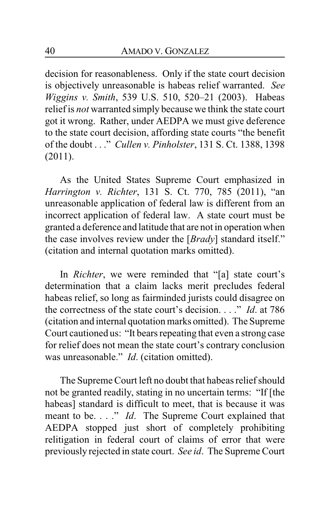decision for reasonableness. Only if the state court decision is objectively unreasonable is habeas relief warranted. *See Wiggins v. Smith*, 539 U.S. 510, 520–21 (2003). Habeas relief is *not* warranted simply because we think the state court got it wrong. Rather, under AEDPA we must give deference to the state court decision, affording state courts "the benefit of the doubt . . ." *Cullen v. Pinholster*, 131 S. Ct. 1388, 1398 (2011).

As the United States Supreme Court emphasized in *Harrington v. Richter*, 131 S. Ct. 770, 785 (2011), "an unreasonable application of federal law is different from an incorrect application of federal law. A state court must be granted a deference and latitude that are not in operation when the case involves review under the [*Brady*] standard itself." (citation and internal quotation marks omitted).

In *Richter*, we were reminded that "[a] state court's determination that a claim lacks merit precludes federal habeas relief, so long as fairminded jurists could disagree on the correctness of the state court's decision. . . ." *Id*. at 786 (citation and internal quotation marks omitted). The Supreme Court cautioned us: "It bears repeating that even a strong case for relief does not mean the state court's contrary conclusion was unreasonable." *Id*. (citation omitted).

The Supreme Court left no doubt that habeas relief should not be granted readily, stating in no uncertain terms: "If [the habeas] standard is difficult to meet, that is because it was meant to be. . . ." *Id*. The Supreme Court explained that AEDPA stopped just short of completely prohibiting relitigation in federal court of claims of error that were previously rejected in state court. *See id*. The Supreme Court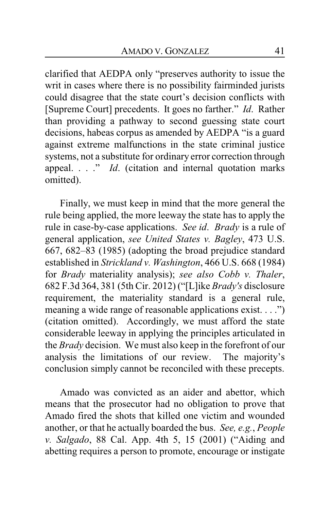clarified that AEDPA only "preserves authority to issue the writ in cases where there is no possibility fairminded jurists could disagree that the state court's decision conflicts with [Supreme Court] precedents. It goes no farther." *Id*. Rather than providing a pathway to second guessing state court decisions, habeas corpus as amended by AEDPA "is a guard against extreme malfunctions in the state criminal justice systems, not a substitute for ordinary error correction through appeal. . . ." *Id*. (citation and internal quotation marks omitted).

Finally, we must keep in mind that the more general the rule being applied, the more leeway the state has to apply the rule in case-by-case applications. *See id*. *Brady* is a rule of general application, *see United States v. Bagley*, 473 U.S. 667, 682–83 (1985) (adopting the broad prejudice standard established in *Strickland v. Washington*, 466 U.S. 668 (1984) for *Brady* materiality analysis); *see also Cobb v. Thaler*, 682 F.3d 364, 381 (5th Cir. 2012) ("[L]ike *Brady's* disclosure requirement, the materiality standard is a general rule, meaning a wide range of reasonable applications exist. . . .") (citation omitted). Accordingly, we must afford the state considerable leeway in applying the principles articulated in the *Brady* decision. We must also keep in the forefront of our analysis the limitations of our review. The majority's conclusion simply cannot be reconciled with these precepts.

Amado was convicted as an aider and abettor, which means that the prosecutor had no obligation to prove that Amado fired the shots that killed one victim and wounded another, or that he actually boarded the bus. *See, e.g.*, *People v. Salgado*, 88 Cal. App. 4th 5, 15 (2001) ("Aiding and abetting requires a person to promote, encourage or instigate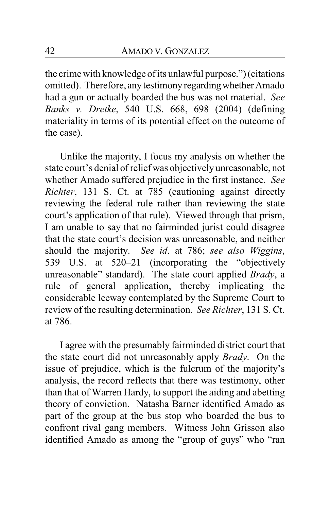the crime with knowledge of its unlawful purpose.") (citations omitted). Therefore, any testimony regarding whether Amado had a gun or actually boarded the bus was not material. *See Banks v. Dretke*, 540 U.S. 668, 698 (2004) (defining materiality in terms of its potential effect on the outcome of the case).

Unlike the majority, I focus my analysis on whether the state court's denial of relief was objectively unreasonable, not whether Amado suffered prejudice in the first instance. *See Richter*, 131 S. Ct. at 785 (cautioning against directly reviewing the federal rule rather than reviewing the state court's application of that rule). Viewed through that prism, I am unable to say that no fairminded jurist could disagree that the state court's decision was unreasonable, and neither should the majority. *See id*. at 786; *see also Wiggins*, 539 U.S. at 520–21 (incorporating the "objectively unreasonable" standard). The state court applied *Brady*, a rule of general application, thereby implicating the considerable leeway contemplated by the Supreme Court to review of the resulting determination. *See Richter*, 131 S. Ct. at 786.

I agree with the presumably fairminded district court that the state court did not unreasonably apply *Brady*. On the issue of prejudice, which is the fulcrum of the majority's analysis, the record reflects that there was testimony, other than that of Warren Hardy, to support the aiding and abetting theory of conviction. Natasha Barner identified Amado as part of the group at the bus stop who boarded the bus to confront rival gang members. Witness John Grisson also identified Amado as among the "group of guys" who "ran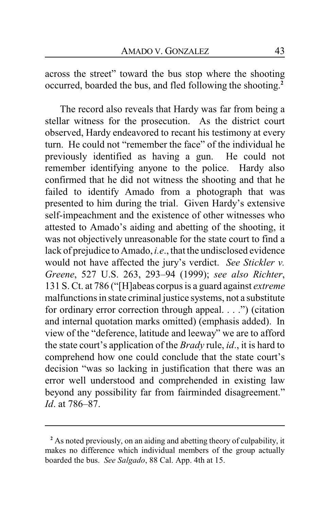across the street" toward the bus stop where the shooting occurred, boarded the bus, and fled following the shooting. **2**

The record also reveals that Hardy was far from being a stellar witness for the prosecution. As the district court observed, Hardy endeavored to recant his testimony at every turn. He could not "remember the face" of the individual he previously identified as having a gun. He could not remember identifying anyone to the police. Hardy also confirmed that he did not witness the shooting and that he failed to identify Amado from a photograph that was presented to him during the trial. Given Hardy's extensive self-impeachment and the existence of other witnesses who attested to Amado's aiding and abetting of the shooting, it was not objectively unreasonable for the state court to find a lack of prejudice to Amado, *i.e*., that the undisclosed evidence would not have affected the jury's verdict. *See Stickler v. Greene*, 527 U.S. 263, 293–94 (1999); *see also Richter*, 131 S. Ct. at 786 ("[H]abeas corpus is a guard against *extreme* malfunctions in state criminal justice systems, not a substitute for ordinary error correction through appeal. . . .") (citation and internal quotation marks omitted) (emphasis added). In view of the "deference, latitude and leeway" we are to afford the state court's application of the *Brady* rule, *id*., it is hard to comprehend how one could conclude that the state court's decision "was so lacking in justification that there was an error well understood and comprehended in existing law beyond any possibility far from fairminded disagreement." *Id*. at 786–87.

**<sup>2</sup>** As noted previously, on an aiding and abetting theory of culpability, it makes no difference which individual members of the group actually boarded the bus. *See Salgado*, 88 Cal. App. 4th at 15.